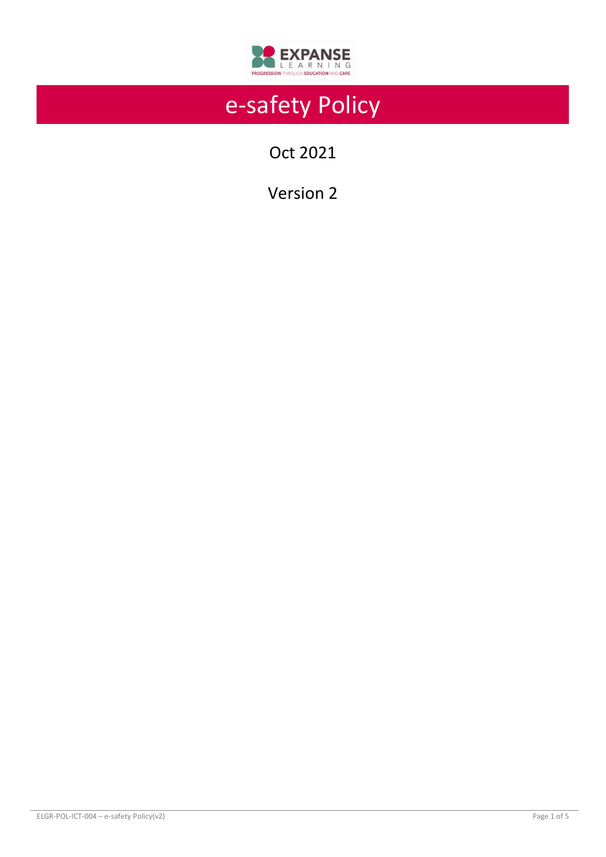

# e-safety Policy

Oct 2021

Version 2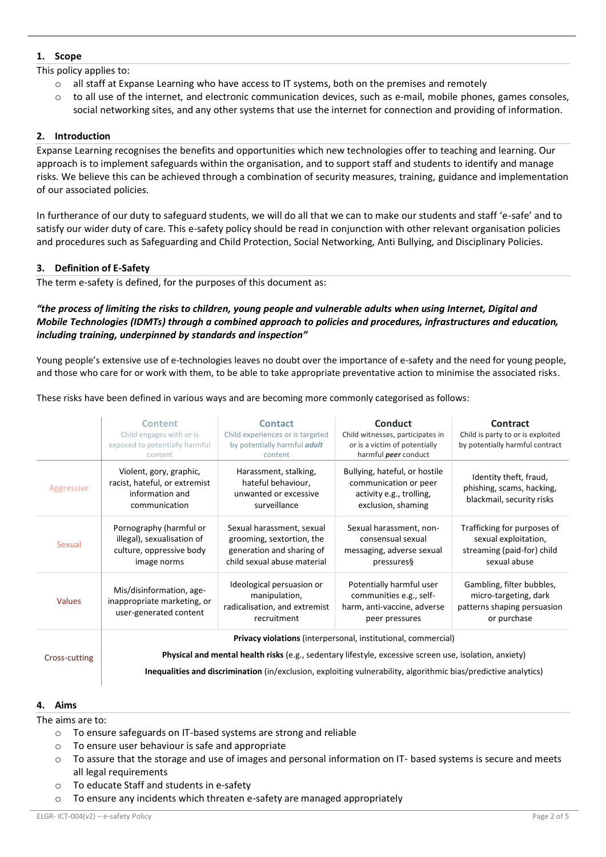## **1. Scope**

This policy applies to:

- o all staff at Expanse Learning who have access to IT systems, both on the premises and remotely
	- to all use of the internet, and electronic communication devices, such as e-mail, mobile phones, games consoles, social networking sites, and any other systems that use the internet for connection and providing of information.

## **2. Introduction**

Expanse Learning recognises the benefits and opportunities which new technologies offer to teaching and learning. Our approach is to implement safeguards within the organisation, and to support staff and students to identify and manage risks. We believe this can be achieved through a combination of security measures, training, guidance and implementation of our associated policies.

In furtherance of our duty to safeguard students, we will do all that we can to make our students and staff 'e-safe' and to satisfy our wider duty of care. This e-safety policy should be read in conjunction with other relevant organisation policies and procedures such as Safeguarding and Child Protection, Social Networking, Anti Bullying, and Disciplinary Policies.

# **3. Definition of E-Safety**

The term e-safety is defined, for the purposes of this document as:

## *"the process of limiting the risks to children, young people and vulnerable adults when using Internet, Digital and Mobile Technologies (IDMTs) through a combined approach to policies and procedures, infrastructures and education, including training, underpinned by standards and inspection"*

Young people's extensive use of e-technologies leaves no doubt over the importance of e-safety and the need for young people, and those who care for or work with them, to be able to take appropriate preventative action to minimise the associated risks.

These risks have been defined in various ways and are becoming more commonly categorised as follows:

| Violent, gory, graphic,<br>racist, hateful, or extremist<br>information and<br>communication<br>Pornography (harmful or | Harassment, stalking,<br>hateful behaviour,<br>unwanted or excessive<br>surveillance<br>Sexual harassment, sexual | Bullying, hateful, or hostile<br>communication or peer<br>activity e.g., trolling,<br>exclusion, shaming | Identity theft, fraud,<br>phishing, scams, hacking,<br>blackmail, security risks                                                                                        |
|-------------------------------------------------------------------------------------------------------------------------|-------------------------------------------------------------------------------------------------------------------|----------------------------------------------------------------------------------------------------------|-------------------------------------------------------------------------------------------------------------------------------------------------------------------------|
|                                                                                                                         |                                                                                                                   |                                                                                                          |                                                                                                                                                                         |
| illegal), sexualisation of<br>culture, oppressive body<br>image norms                                                   | grooming, sextortion, the<br>generation and sharing of<br>child sexual abuse material                             | Sexual harassment, non-<br>consensual sexual<br>messaging, adverse sexual<br>pressures§                  | Trafficking for purposes of<br>sexual exploitation,<br>streaming (paid-for) child<br>sexual abuse                                                                       |
| Mis/disinformation, age-<br>inappropriate marketing, or<br>user-generated content                                       | Ideological persuasion or<br>manipulation,<br>radicalisation, and extremist<br>recruitment                        | Potentially harmful user<br>communities e.g., self-<br>harm, anti-vaccine, adverse<br>peer pressures     | Gambling, filter bubbles,<br>micro-targeting, dark<br>patterns shaping persuasion<br>or purchase                                                                        |
|                                                                                                                         |                                                                                                                   |                                                                                                          |                                                                                                                                                                         |
|                                                                                                                         |                                                                                                                   |                                                                                                          | Privacy violations (interpersonal, institutional, commercial)<br>Physical and mental health risks (e.g., sedentary lifestyle, excessive screen use, isolation, anxiety) |

**Inequalities and discrimination** (in/exclusion, exploiting vulnerability, algorithmic bias/predictive analytics)

## **4. Aims**

The aims are to:

- o To ensure safeguards on IT-based systems are strong and reliable
- o To ensure user behaviour is safe and appropriate
- $\circ$  To assure that the storage and use of images and personal information on IT- based systems is secure and meets all legal requirements
- o To educate Staff and students in e-safety
- $\circ$  To ensure any incidents which threaten e-safety are managed appropriately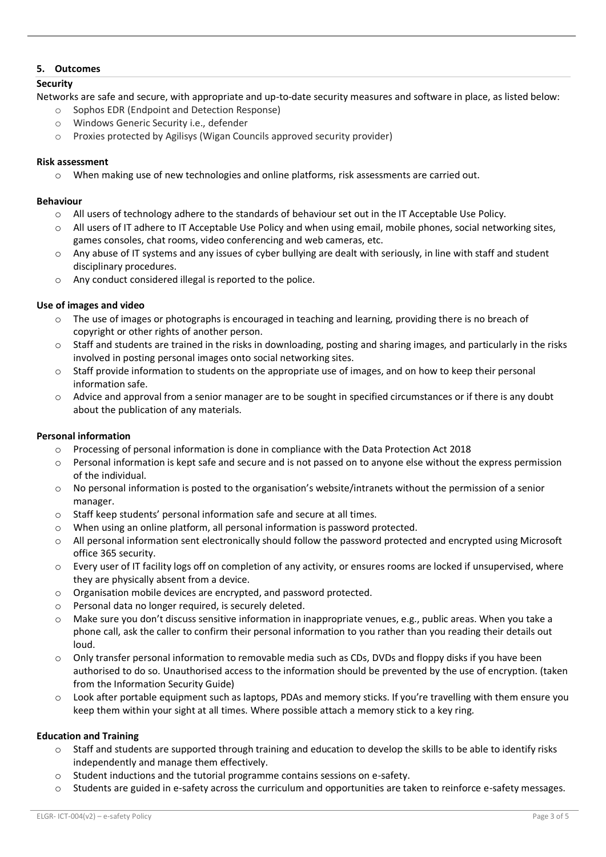## **5. Outcomes**

## **Security**

Networks are safe and secure, with appropriate and up-to-date security measures and software in place, as listed below:

- o Sophos EDR (Endpoint and Detection Response)
- o Windows Generic Security i.e., defender
- o Proxies protected by Agilisys (Wigan Councils approved security provider)

## **Risk assessment**

o When making use of new technologies and online platforms, risk assessments are carried out.

#### **Behaviour**

- o All users of technology adhere to the standards of behaviour set out in the IT Acceptable Use Policy.
- o All users of IT adhere to IT Acceptable Use Policy and when using email, mobile phones, social networking sites, games consoles, chat rooms, video conferencing and web cameras, etc.
- $\circ$  Any abuse of IT systems and any issues of cyber bullying are dealt with seriously, in line with staff and student disciplinary procedures.
- o Any conduct considered illegal is reported to the police.

## **Use of images and video**

- $\circ$  The use of images or photographs is encouraged in teaching and learning, providing there is no breach of copyright or other rights of another person.
- Staff and students are trained in the risks in downloading, posting and sharing images, and particularly in the risks involved in posting personal images onto social networking sites.
- o Staff provide information to students on the appropriate use of images, and on how to keep their personal information safe.
- o Advice and approval from a senior manager are to be sought in specified circumstances or if there is any doubt about the publication of any materials.

## **Personal information**

- o Processing of personal information is done in compliance with the Data Protection Act 2018
- $\circ$  Personal information is kept safe and secure and is not passed on to anyone else without the express permission of the individual.
- o No personal information is posted to the organisation's website/intranets without the permission of a senior manager.
- o Staff keep students' personal information safe and secure at all times.
- o When using an online platform, all personal information is password protected.
- $\circ$  All personal information sent electronically should follow the password protected and encrypted using Microsoft office 365 security.
- $\circ$  Every user of IT facility logs off on completion of any activity, or ensures rooms are locked if unsupervised, where they are physically absent from a device.
- o Organisation mobile devices are encrypted, and password protected.
- o Personal data no longer required, is securely deleted.
- o Make sure you don't discuss sensitive information in inappropriate venues, e.g., public areas. When you take a phone call, ask the caller to confirm their personal information to you rather than you reading their details out loud.
- o Only transfer personal information to removable media such as CDs, DVDs and floppy disks if you have been authorised to do so. Unauthorised access to the information should be prevented by the use of encryption. (taken from the Information Security Guide)
- $\circ$  Look after portable equipment such as laptops, PDAs and memory sticks. If you're travelling with them ensure you keep them within your sight at all times. Where possible attach a memory stick to a key ring.

## **Education and Training**

- o Staff and students are supported through training and education to develop the skills to be able to identify risks independently and manage them effectively.
- o Student inductions and the tutorial programme contains sessions on e-safety.
- o Students are guided in e-safety across the curriculum and opportunities are taken to reinforce e-safety messages.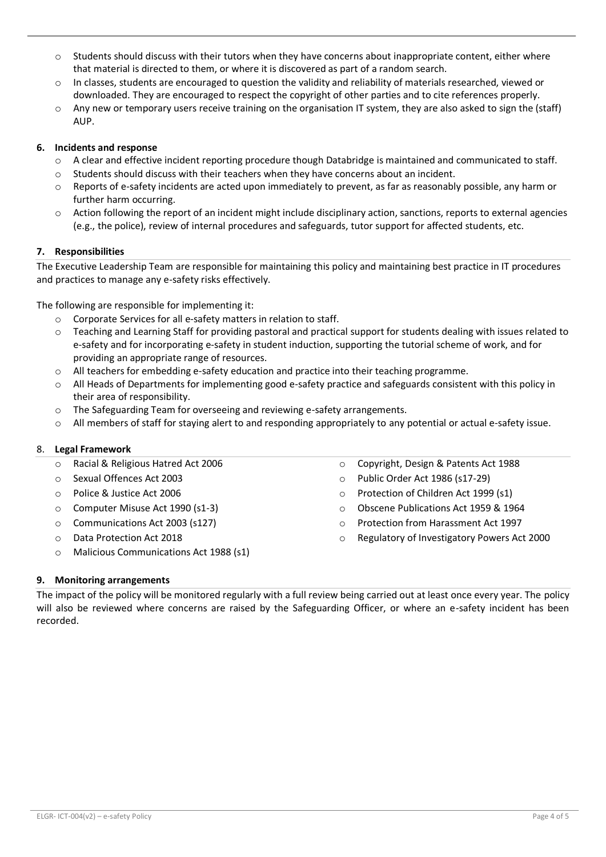- $\circ$  Students should discuss with their tutors when they have concerns about inappropriate content, either where that material is directed to them, or where it is discovered as part of a random search.
- $\circ$  In classes, students are encouraged to question the validity and reliability of materials researched, viewed or downloaded. They are encouraged to respect the copyright of other parties and to cite references properly.
- $\circ$  Any new or temporary users receive training on the organisation IT system, they are also asked to sign the (staff) AUP.

## **6. Incidents and response**

- o A clear and effective incident reporting procedure though Databridge is maintained and communicated to staff.
- o Students should discuss with their teachers when they have concerns about an incident.
- o Reports of e-safety incidents are acted upon immediately to prevent, as far as reasonably possible, any harm or further harm occurring.
- o Action following the report of an incident might include disciplinary action, sanctions, reports to external agencies (e.g., the police), review of internal procedures and safeguards, tutor support for affected students, etc.

## **7. Responsibilities**

The Executive Leadership Team are responsible for maintaining this policy and maintaining best practice in IT procedures and practices to manage any e-safety risks effectively.

The following are responsible for implementing it:

- o Corporate Services for all e-safety matters in relation to staff.
- $\circ$  Teaching and Learning Staff for providing pastoral and practical support for students dealing with issues related to e-safety and for incorporating e-safety in student induction, supporting the tutorial scheme of work, and for providing an appropriate range of resources.
- o All teachers for embedding e-safety education and practice into their teaching programme.
- o All Heads of Departments for implementing good e-safety practice and safeguards consistent with this policy in their area of responsibility.
- o The Safeguarding Team for overseeing and reviewing e-safety arrangements.
- o All members of staff for staying alert to and responding appropriately to any potential or actual e-safety issue.

## 8. **Legal Framework**

- o Racial & Religious Hatred Act 2006
- o Sexual Offences Act 2003
- o Police & Justice Act 2006
- o Computer Misuse Act 1990 (s1-3)
- o Communications Act 2003 (s127)
- o Data Protection Act 2018
- o Malicious Communications Act 1988 (s1)
- o Copyright, Design & Patents Act 1988
- o Public Order Act 1986 (s17-29)
- o Protection of Children Act 1999 (s1)
- o Obscene Publications Act 1959 & 1964
- o Protection from Harassment Act 1997
- o Regulatory of Investigatory Powers Act 2000

# **9. Monitoring arrangements**

The impact of the policy will be monitored regularly with a full review being carried out at least once every year. The policy will also be reviewed where concerns are raised by the Safeguarding Officer, or where an e-safety incident has been recorded.